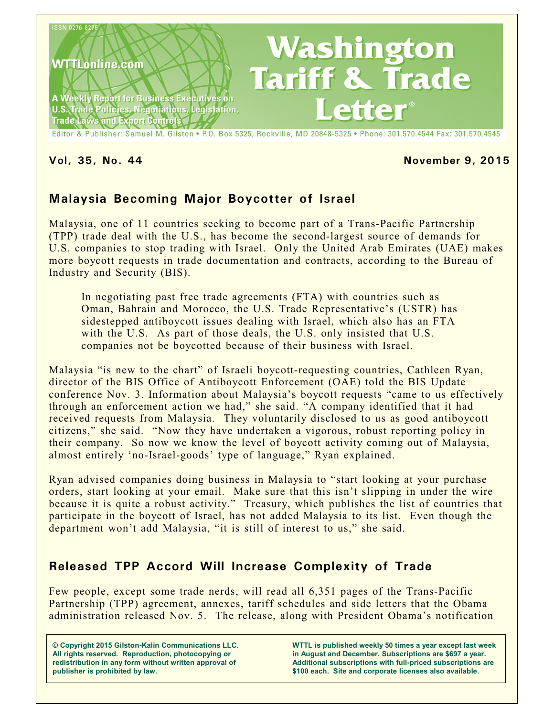

#### **Vol, 35, No. 44 November 9, 2015**

# **Malaysia Becoming Major Boycotter of Israel**

Malaysia, one of 11 countries seeking to become part of a Trans-Pacific Partnership (TPP) trade deal with the U.S., has become the second-largest source of demands for U.S. companies to stop trading with Israel. Only the United Arab Emirates (UAE) makes more boycott requests in trade documentation and contracts, according to the Bureau of Industry and Security (BIS).

In negotiating past free trade agreements (FTA) with countries such as Oman, Bahrain and Morocco, the U.S. Trade Representative's (USTR) has sidestepped antiboycott issues dealing with Israel, which also has an FTA with the U.S. As part of those deals, the U.S. only insisted that U.S. companies not be boycotted because of their business with Israel.

Malaysia "is new to the chart" of Israeli boycott-requesting countries, Cathleen Ryan, director of the BIS Office of Antiboycott Enforcement (OAE) told the BIS Update conference Nov. 3. Information about Malaysia's boycott requests "came to us effectively through an enforcement action we had," she said. "A company identified that it had received requests from Malaysia. They voluntarily disclosed to us as good antiboycott citizens," she said. "Now they have undertaken a vigorous, robust reporting policy in their company. So now we know the level of boycott activity coming out of Malaysia, almost entirely 'no-Israel-goods' type of language," Ryan explained.

Ryan advised companies doing business in Malaysia to "start looking at your purchase orders, start looking at your email. Make sure that this isn't slipping in under the wire because it is quite a robust activity." Treasury, which publishes the list of countries that participate in the boycott of Israel, has not added Malaysia to its list. Even though the department won't add Malaysia, "it is still of interest to us," she said.

# **Released TPP Accord Will Increase Complexity of Trade**

Few people, except some trade nerds, will read all 6,351 pages of the Trans-Pacific Partnership (TPP) agreement, annexes, tariff schedules and side letters that the Obama administration released Nov. 5. The release, along with President Obama's notification

**© Copyright 2015 Gilston-Kalin Communications LLC. All rights reserved. Reproduction, photocopying or redistribution in any form without written approval of publisher is prohibited by law.** 

**WTTL is published weekly 50 times a year except last week in August and December. Subscriptions are \$697 a year. Additional subscriptions with full-priced subscriptions are \$100 each. Site and corporate licenses also available.**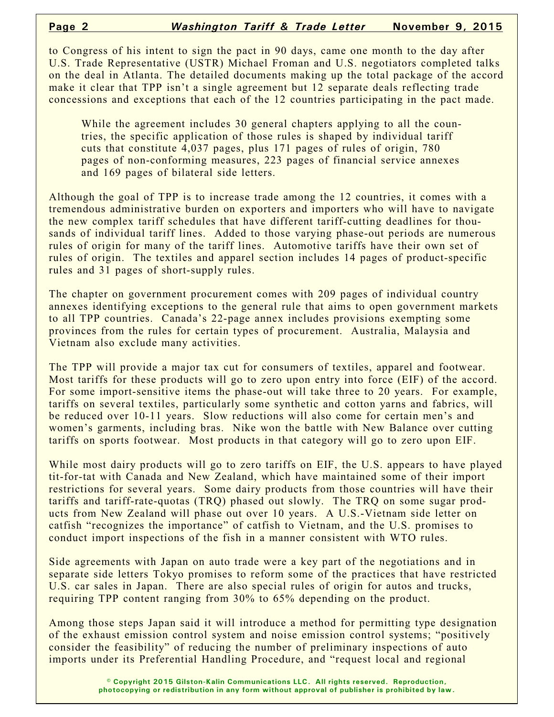to Congress of his intent to sign the pact in 90 days, came one month to the day after U.S. Trade Representative (USTR) Michael Froman and U.S. negotiators completed talks on the deal in Atlanta. The detailed documents making up the total package of the accord make it clear that TPP isn't a single agreement but 12 separate deals reflecting trade concessions and exceptions that each of the 12 countries participating in the pact made.

While the agreement includes 30 general chapters applying to all the countries, the specific application of those rules is shaped by individual tariff cuts that constitute 4,037 pages, plus 171 pages of rules of origin, 780 pages of non-conforming measures, 223 pages of financial service annexes and 169 pages of bilateral side letters.

Although the goal of TPP is to increase trade among the 12 countries, it comes with a tremendous administrative burden on exporters and importers who will have to navigate the new complex tariff schedules that have different tariff-cutting deadlines for thousands of individual tariff lines. Added to those varying phase-out periods are numerous rules of origin for many of the tariff lines. Automotive tariffs have their own set of rules of origin. The textiles and apparel section includes 14 pages of product-specific rules and 31 pages of short-supply rules.

The chapter on government procurement comes with 209 pages of individual country annexes identifying exceptions to the general rule that aims to open government markets to all TPP countries. Canada's 22-page annex includes provisions exempting some provinces from the rules for certain types of procurement. Australia, Malaysia and Vietnam also exclude many activities.

The TPP will provide a major tax cut for consumers of textiles, apparel and footwear. Most tariffs for these products will go to zero upon entry into force (EIF) of the accord. For some import-sensitive items the phase-out will take three to 20 years. For example, tariffs on several textiles, particularly some synthetic and cotton yarns and fabrics, will be reduced over 10-11 years. Slow reductions will also come for certain men's and women's garments, including bras. Nike won the battle with New Balance over cutting tariffs on sports footwear. Most products in that category will go to zero upon EIF.

While most dairy products will go to zero tariffs on EIF, the U.S. appears to have played tit-for-tat with Canada and New Zealand, which have maintained some of their import restrictions for several years. Some dairy products from those countries will have their tariffs and tariff-rate-quotas (TRQ) phased out slowly. The TRQ on some sugar products from New Zealand will phase out over 10 years. A U.S.-Vietnam side letter on catfish "recognizes the importance" of catfish to Vietnam, and the U.S. promises to conduct import inspections of the fish in a manner consistent with WTO rules.

Side agreements with Japan on auto trade were a key part of the negotiations and in separate side letters Tokyo promises to reform some of the practices that have restricted U.S. car sales in Japan. There are also special rules of origin for autos and trucks, requiring TPP content ranging from 30% to 65% depending on the product.

Among those steps Japan said it will introduce a method for permitting type designation of the exhaust emission control system and noise emission control systems; "positively consider the feasibility" of reducing the number of preliminary inspections of auto imports under its Preferential Handling Procedure, and "request local and regional

> **© Copyright 2015 Gilston-Kalin Communications LLC. All rights reserved. Reproduction, photocopying or redistribution in any form without approval of publisher is prohibited by law.**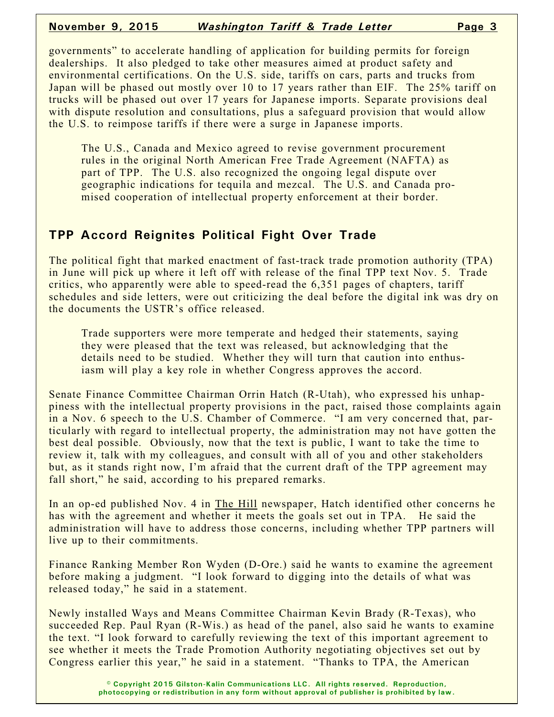#### **November 9, 2015** *Washington Tariff & Trade Letter* **Page 3**

governments" to accelerate handling of application for building permits for foreign dealerships. It also pledged to take other measures aimed at product safety and environmental certifications. On the U.S. side, tariffs on cars, parts and trucks from Japan will be phased out mostly over 10 to 17 years rather than EIF. The 25% tariff on trucks will be phased out over 17 years for Japanese imports. Separate provisions deal with dispute resolution and consultations, plus a safeguard provision that would allow the U.S. to reimpose tariffs if there were a surge in Japanese imports.

The U.S., Canada and Mexico agreed to revise government procurement rules in the original North American Free Trade Agreement (NAFTA) as part of TPP. The U.S. also recognized the ongoing legal dispute over geographic indications for tequila and mezcal. The U.S. and Canada promised cooperation of intellectual property enforcement at their border.

# **TPP Accord Reignites Political Fight Over Trade**

The political fight that marked enactment of fast-track trade promotion authority (TPA) in June will pick up where it left off with release of the final TPP text Nov. 5. Trade critics, who apparently were able to speed-read the 6,351 pages of chapters, tariff schedules and side letters, were out criticizing the deal before the digital ink was dry on the documents the USTR's office released.

Trade supporters were more temperate and hedged their statements, saying they were pleased that the text was released, but acknowledging that the details need to be studied. Whether they will turn that caution into enthusiasm will play a key role in whether Congress approves the accord.

Senate Finance Committee Chairman Orrin Hatch (R-Utah), who expressed his unhappiness with the intellectual property provisions in the pact, raised those complaints again in a Nov. 6 speech to the U.S. Chamber of Commerce. "I am very concerned that, particularly with regard to intellectual property, the administration may not have gotten the best deal possible. Obviously, now that the text is public, I want to take the time to review it, talk with my colleagues, and consult with all of you and other stakeholders but, as it stands right now, I'm afraid that the current draft of the TPP agreement may fall short," he said, according to his prepared remarks.

In an op-ed published Nov. 4 in The Hill newspaper, Hatch identified other concerns he has with the agreement and whether it meets the goals set out in TPA. He said the administration will have to address those concerns, including whether TPP partners will live up to their commitments.

Finance Ranking Member Ron Wyden (D-Ore.) said he wants to examine the agreement before making a judgment. "I look forward to digging into the details of what was released today," he said in a statement.

Newly installed Ways and Means Committee Chairman Kevin Brady (R-Texas), who succeeded Rep. Paul Ryan (R-Wis.) as head of the panel, also said he wants to examine the text. "I look forward to carefully reviewing the text of this important agreement to see whether it meets the Trade Promotion Authority negotiating objectives set out by Congress earlier this year," he said in a statement. "Thanks to TPA, the American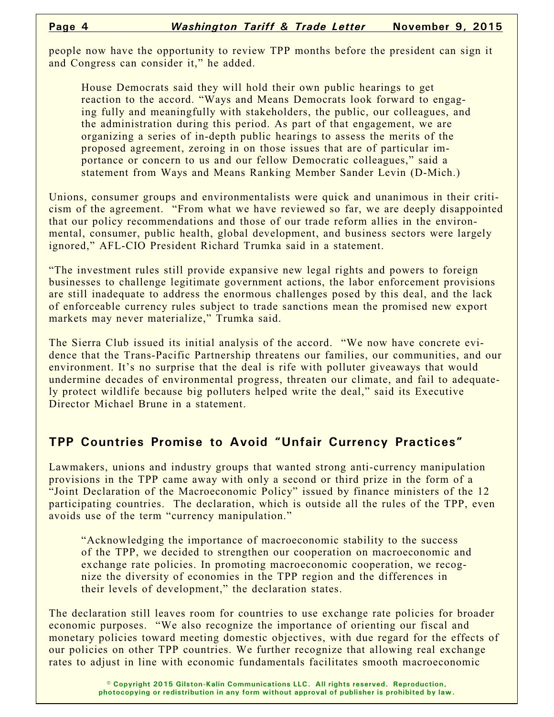people now have the opportunity to review TPP months before the president can sign it and Congress can consider it," he added.

House Democrats said they will hold their own public hearings to get reaction to the accord. "Ways and Means Democrats look forward to engaging fully and meaningfully with stakeholders, the public, our colleagues, and the administration during this period. As part of that engagement, we are organizing a series of in-depth public hearings to assess the merits of the proposed agreement, zeroing in on those issues that are of particular importance or concern to us and our fellow Democratic colleagues," said a statement from Ways and Means Ranking Member Sander Levin (D-Mich.)

Unions, consumer groups and environmentalists were quick and unanimous in their criticism of the agreement. "From what we have reviewed so far, we are deeply disappointed that our policy recommendations and those of our trade reform allies in the environmental, consumer, public health, global development, and business sectors were largely ignored," AFL-CIO President Richard Trumka said in a statement.

"The investment rules still provide expansive new legal rights and powers to foreign businesses to challenge legitimate government actions, the labor enforcement provisions are still inadequate to address the enormous challenges posed by this deal, and the lack of enforceable currency rules subject to trade sanctions mean the promised new export markets may never materialize," Trumka said.

The Sierra Club issued its initial analysis of the accord. "We now have concrete evidence that the Trans-Pacific Partnership threatens our families, our communities, and our environment. It's no surprise that the deal is rife with polluter giveaways that would undermine decades of environmental progress, threaten our climate, and fail to adequately protect wildlife because big polluters helped write the deal," said its Executive Director Michael Brune in a statement.

# **TPP Countries Promise to Avoid "Unfair Currency Practices"**

Lawmakers, unions and industry groups that wanted strong anti-currency manipulation provisions in the TPP came away with only a second or third prize in the form of a "Joint Declaration of the Macroeconomic Policy" issued by finance ministers of the 12 participating countries. The declaration, which is outside all the rules of the TPP, even avoids use of the term "currency manipulation."

"Acknowledging the importance of macroeconomic stability to the success of the TPP, we decided to strengthen our cooperation on macroeconomic and exchange rate policies. In promoting macroeconomic cooperation, we recognize the diversity of economies in the TPP region and the differences in their levels of development," the declaration states.

The declaration still leaves room for countries to use exchange rate policies for broader economic purposes. "We also recognize the importance of orienting our fiscal and monetary policies toward meeting domestic objectives, with due regard for the effects of our policies on other TPP countries. We further recognize that allowing real exchange rates to adjust in line with economic fundamentals facilitates smooth macroeconomic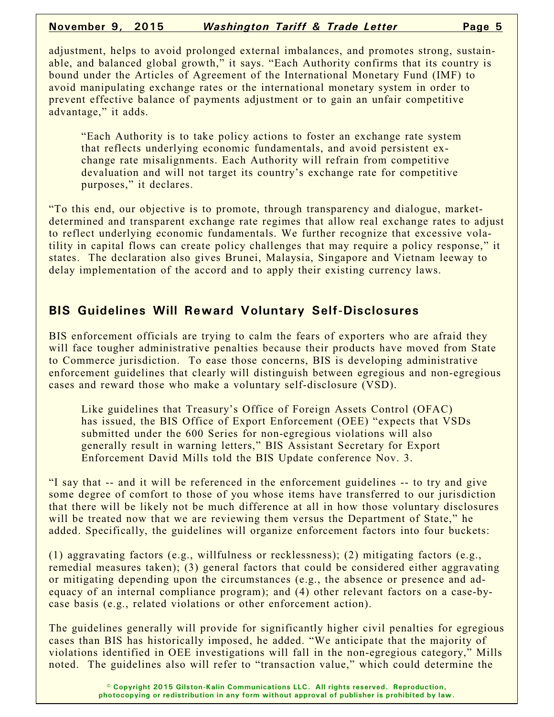#### **November 9, 2015** *Washington Tariff & Trade Letter* **Page 5**

adjustment, helps to avoid prolonged external imbalances, and promotes strong, sustainable, and balanced global growth," it says. "Each Authority confirms that its country is bound under the Articles of Agreement of the International Monetary Fund (IMF) to avoid manipulating exchange rates or the international monetary system in order to prevent effective balance of payments adjustment or to gain an unfair competitive advantage," it adds.

"Each Authority is to take policy actions to foster an exchange rate system that reflects underlying economic fundamentals, and avoid persistent exchange rate misalignments. Each Authority will refrain from competitive devaluation and will not target its country's exchange rate for competitive purposes," it declares.

"To this end, our objective is to promote, through transparency and dialogue, marketdetermined and transparent exchange rate regimes that allow real exchange rates to adjust to reflect underlying economic fundamentals. We further recognize that excessive volatility in capital flows can create policy challenges that may require a policy response," it states. The declaration also gives Brunei, Malaysia, Singapore and Vietnam leeway to delay implementation of the accord and to apply their existing currency laws.

#### **BIS Guidelines Will Reward Voluntary Self-Disclosures**

BIS enforcement officials are trying to calm the fears of exporters who are afraid they will face tougher administrative penalties because their products have moved from State to Commerce jurisdiction. To ease those concerns, BIS is developing administrative enforcement guidelines that clearly will distinguish between egregious and non-egregious cases and reward those who make a voluntary self-disclosure (VSD).

Like guidelines that Treasury's Office of Foreign Assets Control (OFAC) has issued, the BIS Office of Export Enforcement (OEE) "expects that VSDs submitted under the 600 Series for non-egregious violations will also generally result in warning letters," BIS Assistant Secretary for Export Enforcement David Mills told the BIS Update conference Nov. 3.

"I say that -- and it will be referenced in the enforcement guidelines -- to try and give some degree of comfort to those of you whose items have transferred to our jurisdiction that there will be likely not be much difference at all in how those voluntary disclosures will be treated now that we are reviewing them versus the Department of State," he added. Specifically, the guidelines will organize enforcement factors into four buckets:

(1) aggravating factors (e.g., willfulness or recklessness); (2) mitigating factors (e.g., remedial measures taken); (3) general factors that could be considered either aggravating or mitigating depending upon the circumstances (e.g., the absence or presence and adequacy of an internal compliance program); and (4) other relevant factors on a case-bycase basis (e.g., related violations or other enforcement action).

The guidelines generally will provide for significantly higher civil penalties for egregious cases than BIS has historically imposed, he added. "We anticipate that the majority of violations identified in OEE investigations will fall in the non-egregious category," Mills noted. The guidelines also will refer to "transaction value," which could determine the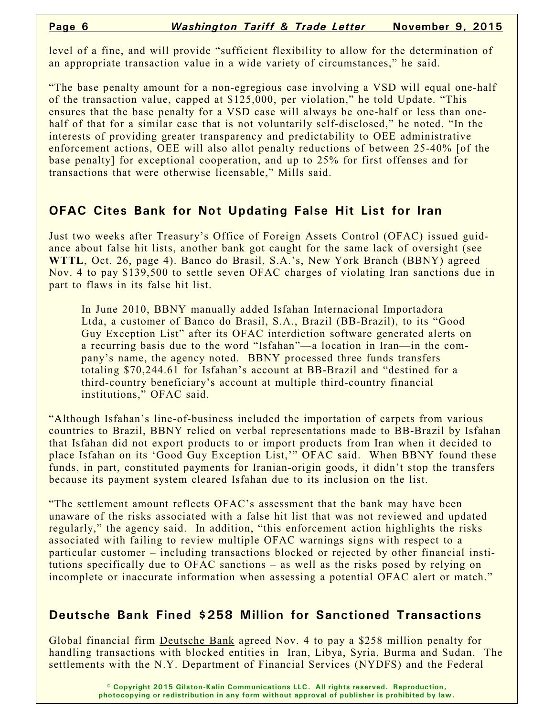level of a fine, and will provide "sufficient flexibility to allow for the determination of an appropriate transaction value in a wide variety of circumstances," he said.

"The base penalty amount for a non-egregious case involving a VSD will equal one-half of the transaction value, capped at \$125,000, per violation," he told Update. "This ensures that the base penalty for a VSD case will always be one-half or less than onehalf of that for a similar case that is not voluntarily self-disclosed," he noted. "In the interests of providing greater transparency and predictability to OEE administrative enforcement actions, OEE will also allot penalty reductions of between 25-40% [of the base penalty] for exceptional cooperation, and up to 25% for first offenses and for transactions that were otherwise licensable," Mills said.

# **OFAC Cites Bank for Not Updating False Hit List for Iran**

Just two weeks after Treasury's Office of Foreign Assets Control (OFAC) issued guidance about false hit lists, another bank got caught for the same lack of oversight (see **WTTL**, Oct. 26, page 4). Banco do Brasil, S.A.'s, New York Branch (BBNY) agreed Nov. 4 to pay \$139,500 to settle seven OFAC charges of violating Iran sanctions due in part to flaws in its false hit list.

In June 2010, BBNY manually added Isfahan Internacional Importadora Ltda, a customer of Banco do Brasil, S.A., Brazil (BB-Brazil), to its "Good Guy Exception List" after its OFAC interdiction software generated alerts on a recurring basis due to the word "Isfahan"—a location in Iran—in the company's name, the agency noted. BBNY processed three funds transfers totaling \$70,244.61 for Isfahan's account at BB-Brazil and "destined for a third-country beneficiary's account at multiple third-country financial institutions," OFAC said.

"Although Isfahan's line-of-business included the importation of carpets from various countries to Brazil, BBNY relied on verbal representations made to BB-Brazil by Isfahan that Isfahan did not export products to or import products from Iran when it decided to place Isfahan on its 'Good Guy Exception List,'" OFAC said. When BBNY found these funds, in part, constituted payments for Iranian-origin goods, it didn't stop the transfers because its payment system cleared Isfahan due to its inclusion on the list.

"The settlement amount reflects OFAC's assessment that the bank may have been unaware of the risks associated with a false hit list that was not reviewed and updated regularly," the agency said. In addition, "this enforcement action highlights the risks associated with failing to review multiple OFAC warnings signs with respect to a particular customer – including transactions blocked or rejected by other financial institutions specifically due to OFAC sanctions – as well as the risks posed by relying on incomplete or inaccurate information when assessing a potential OFAC alert or match."

#### **Deutsche Bank Fined \$258 Million for Sanctioned Transactions**

Global financial firm Deutsche Bank agreed Nov. 4 to pay a \$258 million penalty for handling transactions with blocked entities in Iran, Libya, Syria, Burma and Sudan. The settlements with the N.Y. Department of Financial Services (NYDFS) and the Federal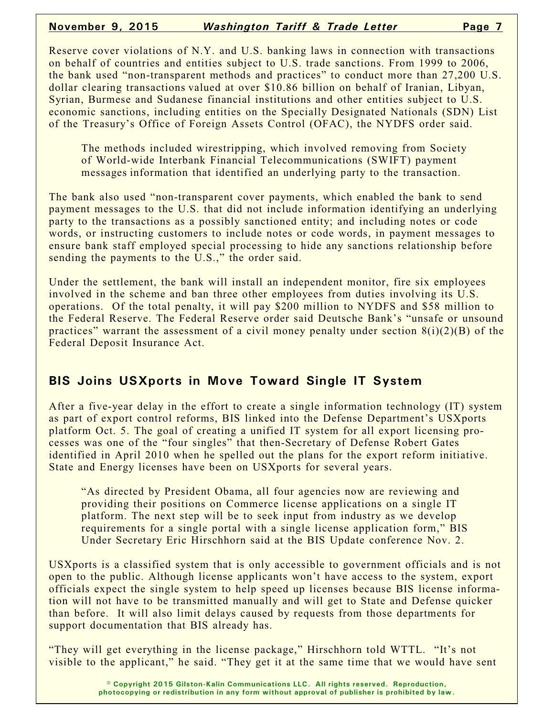Reserve cover violations of N.Y. and U.S. banking laws in connection with transactions on behalf of countries and entities subject to U.S. trade sanctions. From 1999 to 2006, the bank used "non-transparent methods and practices" to conduct more than 27,200 U.S. dollar clearing transactions valued at over \$10.86 billion on behalf of Iranian, Libyan, Syrian, Burmese and Sudanese financial institutions and other entities subject to U.S. economic sanctions, including entities on the Specially Designated Nationals (SDN) List of the Treasury's Office of Foreign Assets Control (OFAC), the NYDFS order said.

The methods included wirestripping, which involved removing from Society of World-wide Interbank Financial Telecommunications (SWIFT) payment messages information that identified an underlying party to the transaction.

The bank also used "non-transparent cover payments, which enabled the bank to send payment messages to the U.S. that did not include information identifying an underlying party to the transactions as a possibly sanctioned entity; and including notes or code words, or instructing customers to include notes or code words, in payment messages to ensure bank staff employed special processing to hide any sanctions relationship before sending the payments to the U.S.," the order said.

Under the settlement, the bank will install an independent monitor, fire six employees involved in the scheme and ban three other employees from duties involving its U.S. operations. Of the total penalty, it will pay \$200 million to NYDFS and \$58 million to the Federal Reserve. The Federal Reserve order said Deutsche Bank's "unsafe or unsound practices" warrant the assessment of a civil money penalty under section  $8(i)(2)(B)$  of the Federal Deposit Insurance Act.

#### **BIS Joins USXports in Move Toward Single IT System**

After a five-year delay in the effort to create a single information technology (IT) system as part of export control reforms, BIS linked into the Defense Department's USXports platform Oct. 5. The goal of creating a unified IT system for all export licensing processes was one of the "four singles" that then-Secretary of Defense Robert Gates identified in April 2010 when he spelled out the plans for the export reform initiative. State and Energy licenses have been on USXports for several years.

"As directed by President Obama, all four agencies now are reviewing and providing their positions on Commerce license applications on a single IT platform. The next step will be to seek input from industry as we develop requirements for a single portal with a single license application form," BIS Under Secretary Eric Hirschhorn said at the BIS Update conference Nov. 2.

USXports is a classified system that is only accessible to government officials and is not open to the public. Although license applicants won't have access to the system, export officials expect the single system to help speed up licenses because BIS license information will not have to be transmitted manually and will get to State and Defense quicker than before. It will also limit delays caused by requests from those departments for support documentation that BIS already has.

"They will get everything in the license package," Hirschhorn told WTTL. "It's not visible to the applicant," he said. "They get it at the same time that we would have sent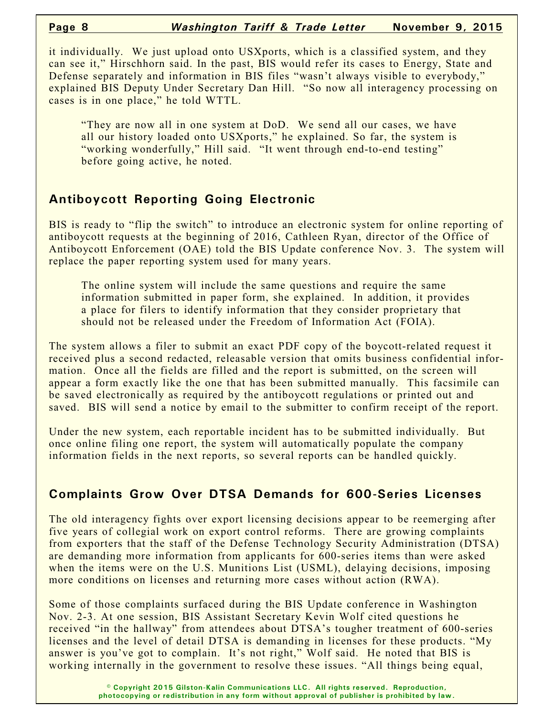it individually. We just upload onto USXports, which is a classified system, and they can see it," Hirschhorn said. In the past, BIS would refer its cases to Energy, State and Defense separately and information in BIS files "wasn't always visible to everybody," explained BIS Deputy Under Secretary Dan Hill. "So now all interagency processing on cases is in one place," he told WTTL.

"They are now all in one system at DoD. We send all our cases, we have all our history loaded onto USXports," he explained. So far, the system is "working wonderfully," Hill said. "It went through end-to-end testing" before going active, he noted.

# **Antiboycott Reporting Going Electronic**

BIS is ready to "flip the switch" to introduce an electronic system for online reporting of antiboycott requests at the beginning of 2016, Cathleen Ryan, director of the Office of Antiboycott Enforcement (OAE) told the BIS Update conference Nov. 3. The system will replace the paper reporting system used for many years.

The online system will include the same questions and require the same information submitted in paper form, she explained. In addition, it provides a place for filers to identify information that they consider proprietary that should not be released under the Freedom of Information Act (FOIA).

The system allows a filer to submit an exact PDF copy of the boycott-related request it received plus a second redacted, releasable version that omits business confidential information. Once all the fields are filled and the report is submitted, on the screen will appear a form exactly like the one that has been submitted manually. This facsimile can be saved electronically as required by the antiboycott regulations or printed out and saved. BIS will send a notice by email to the submitter to confirm receipt of the report.

Under the new system, each reportable incident has to be submitted individually. But once online filing one report, the system will automatically populate the company information fields in the next reports, so several reports can be handled quickly.

# **Complaints Grow Over DTSA Demands for 600-Series Licenses**

The old interagency fights over export licensing decisions appear to be reemerging after five years of collegial work on export control reforms. There are growing complaints from exporters that the staff of the Defense Technology Security Administration (DTSA) are demanding more information from applicants for 600-series items than were asked when the items were on the U.S. Munitions List (USML), delaying decisions, imposing more conditions on licenses and returning more cases without action (RWA).

Some of those complaints surfaced during the BIS Update conference in Washington Nov. 2-3. At one session, BIS Assistant Secretary Kevin Wolf cited questions he received "in the hallway" from attendees about DTSA's tougher treatment of 600-series licenses and the level of detail DTSA is demanding in licenses for these products. "My answer is you've got to complain. It's not right," Wolf said. He noted that BIS is working internally in the government to resolve these issues. "All things being equal,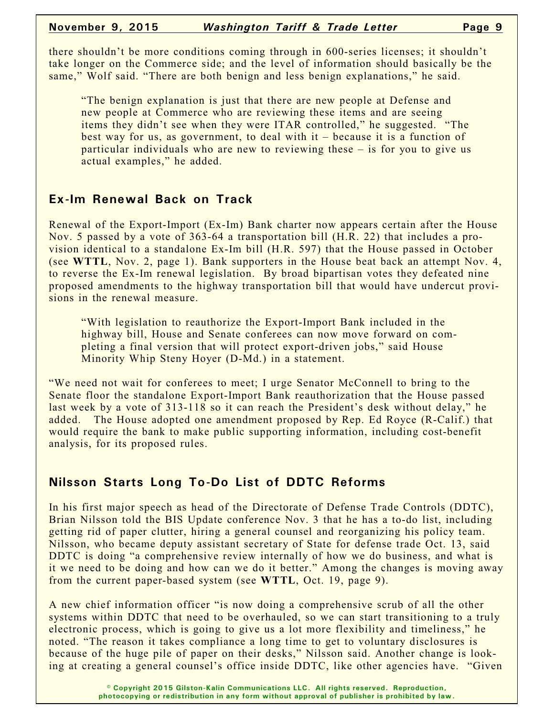there shouldn't be more conditions coming through in 600-series licenses; it shouldn't take longer on the Commerce side; and the level of information should basically be the same," Wolf said. "There are both benign and less benign explanations," he said.

"The benign explanation is just that there are new people at Defense and new people at Commerce who are reviewing these items and are seeing items they didn't see when they were ITAR controlled," he suggested. "The best way for us, as government, to deal with it – because it is a function of particular individuals who are new to reviewing these – is for you to give us actual examples," he added.

#### **Ex-Im Renewal Back on Track**

Renewal of the Export-Import (Ex-Im) Bank charter now appears certain after the House Nov. 5 passed by a vote of 363-64 a transportation bill (H.R. 22) that includes a provision identical to a standalone Ex-Im bill (H.R. 597) that the House passed in October (see **WTTL**, Nov. 2, page 1). Bank supporters in the House beat back an attempt Nov. 4, to reverse the Ex-Im renewal legislation. By broad bipartisan votes they defeated nine proposed amendments to the highway transportation bill that would have undercut provisions in the renewal measure.

"With legislation to reauthorize the Export-Import Bank included in the highway bill, House and Senate conferees can now move forward on completing a final version that will protect export-driven jobs," said House Minority Whip Steny Hoyer (D-Md.) in a statement.

"We need not wait for conferees to meet; I urge Senator McConnell to bring to the Senate floor the standalone Export-Import Bank reauthorization that the House passed last week by a vote of 313-118 so it can reach the President's desk without delay," he added. The House adopted one amendment proposed by Rep. Ed Royce (R-Calif.) that would require the bank to make public supporting information, including cost-benefit analysis, for its proposed rules.

# **Nilsson Starts Long To-Do List of DDTC Reforms**

In his first major speech as head of the Directorate of Defense Trade Controls (DDTC), Brian Nilsson told the BIS Update conference Nov. 3 that he has a to-do list, including getting rid of paper clutter, hiring a general counsel and reorganizing his policy team. Nilsson, who became deputy assistant secretary of State for defense trade Oct. 13, said DDTC is doing "a comprehensive review internally of how we do business, and what is it we need to be doing and how can we do it better." Among the changes is moving away from the current paper-based system (see **WTTL**, Oct. 19, page 9).

A new chief information officer "is now doing a comprehensive scrub of all the other systems within DDTC that need to be overhauled, so we can start transitioning to a truly electronic process, which is going to give us a lot more flexibility and timeliness," he noted. "The reason it takes compliance a long time to get to voluntary disclosures is because of the huge pile of paper on their desks," Nilsson said. Another change is looking at creating a general counsel's office inside DDTC, like other agencies have. "Given